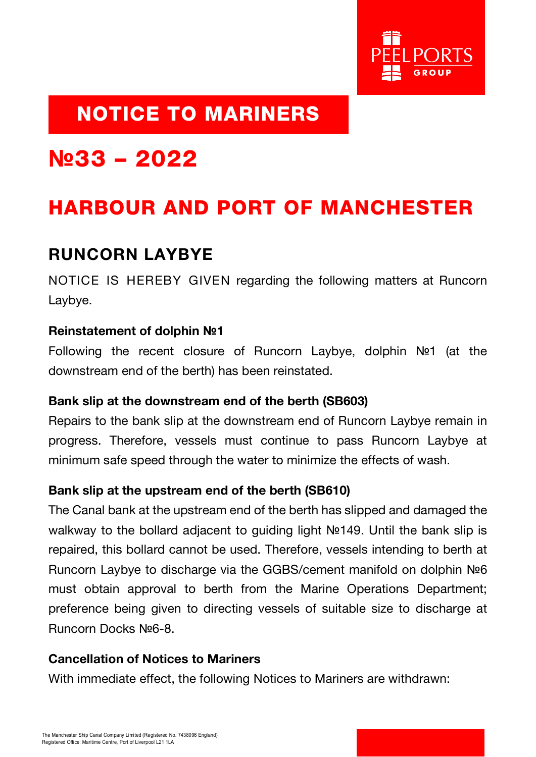

## NOTICE TO MARINERS

# **№**33 – 2022

## HARBOUR AND PORT OF MANCHESTER

### RUNCORN LAYBYE

NOTICE IS HEREBY GIVEN regarding the following matters at Runcorn Laybye.

#### Reinstatement of dolphin **№**1

Following the recent closure of Runcorn Laybye, dolphin №1 (at the downstream end of the berth) has been reinstated.

#### Bank slip at the downstream end of the berth (SB603)

Repairs to the bank slip at the downstream end of Runcorn Laybye remain in progress. Therefore, vessels must continue to pass Runcorn Laybye at minimum safe speed through the water to minimize the effects of wash.

#### Bank slip at the upstream end of the berth (SB610)

The Canal bank at the upstream end of the berth has slipped and damaged the walkway to the bollard adjacent to guiding light №149. Until the bank slip is repaired, this bollard cannot be used. Therefore, vessels intending to berth at Runcorn Laybye to discharge via the GGBS/cement manifold on dolphin №6 must obtain approval to berth from the Marine Operations Department; preference being given to directing vessels of suitable size to discharge at Runcorn Docks №6-8.

#### Cancellation of Notices to Mariners

With immediate effect, the following Notices to Mariners are withdrawn: